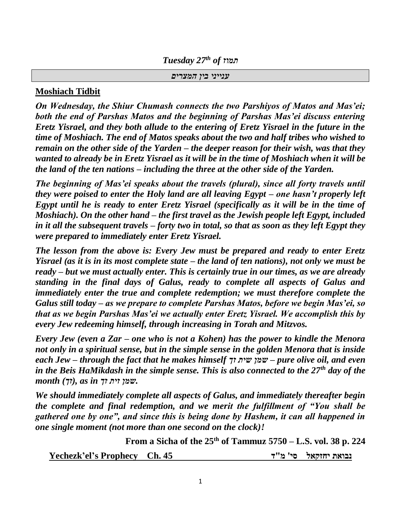*Tuesday 27th of תמוז*

*ענייני בין המצרים*

#### **Moshiach Tidbit**

*On Wednesday, the Shiur Chumash connects the two Parshiyos of Matos and Mas'ei; both the end of Parshas Matos and the beginning of Parshas Mas'ei discuss entering Eretz Yisrael, and they both allude to the entering of Eretz Yisrael in the future in the time of Moshiach. The end of Matos speaks about the two and half tribes who wished to remain on the other side of the Yarden – the deeper reason for their wish, was that they wanted to already be in Eretz Yisrael as it will be in the time of Moshiach when it will be the land of the ten nations – including the three at the other side of the Yarden.*

*The beginning of Mas'ei speaks about the travels (plural), since all forty travels until they were poised to enter the Holy land are all leaving Egypt – one hasn't properly left Egypt until he is ready to enter Eretz Yisrael (specifically as it will be in the time of Moshiach). On the other hand – the first travel as the Jewish people left Egypt, included in it all the subsequent travels – forty two in total, so that as soon as they left Egypt they were prepared to immediately enter Eretz Yisrael.*

*The lesson from the above is: Every Jew must be prepared and ready to enter Eretz Yisrael (as it is in its most complete state – the land of ten nations), not only we must be ready – but we must actually enter. This is certainly true in our times, as we are already standing in the final days of Galus, ready to complete all aspects of Galus and immediately enter the true and complete redemption; we must therefore complete the Galus still today – as we prepare to complete Parshas Matos, before we begin Mas'ei, so that as we begin Parshas Mas'ei we actually enter Eretz Yisrael. We accomplish this by every Jew redeeming himself, through increasing in Torah and Mitzvos.*

*Every Jew (even a Zar – one who is not a Kohen) has the power to kindle the Menora not only in a spiritual sense, but in the simple sense in the golden Menora that is inside each Jew – through the fact that he makes himself זך שית שמן – pure olive oil, and even in the Beis HaMikdash in the simple sense. This is also connected to the 27th day of the .שמן זית זך in as ,)זך) month*

*We should immediately complete all aspects of Galus, and immediately thereafter begin the complete and final redemption, and we merit the fulfillment of "You shall be gathered one by one", and since this is being done by Hashem, it can all happened in one single moment (not more than one second on the clock)!*

**From a Sicha of the 25th of Tammuz 5750 – L.S. vol. 38 p. 224**

**נבואת יחזקאל סי' מ"ד 45 .Ch Prophecy s'el'Yechezk**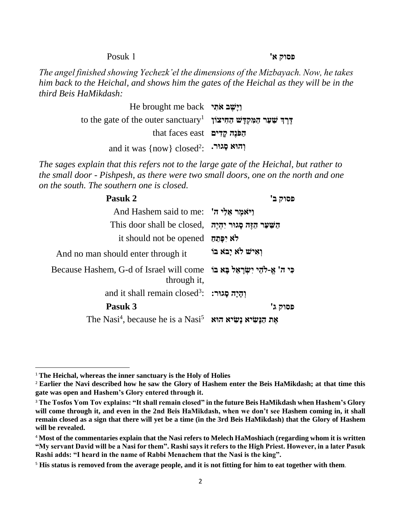**פסוק א'** 1 Posuk

*The angel finished showing Yechezk'el the dimensions of the Mizbayach. Now, he takes him back to the Heichal, and shows him the gates of the Heichal as they will be in the third Beis HaMikdash:*

> **וַיִּשֵׁב אֹתִי** He brought me back to the gate of the outer sanctuary<sup>1</sup> **דֶׁ רֶׁ ְך שַ עַר הַ מִ קְ דָּ ש הַ חִ יצֹון הַפּׂנֶה קַדְים** that faces east and it was {now} closed<sup>2</sup> : **וְ הּוא סָּ גּור.**

*The sages explain that this refers not to the large gate of the Heichal, but rather to the small door - Pishpesh, as there were two small doors, one on the north and one on the south. The southern one is closed.*

| Pasuk 2                                                                                       | פסוק ב'                 |
|-----------------------------------------------------------------------------------------------|-------------------------|
| And Hashem said to me: "ויֹאמֶר אֱלַי ה                                                       |                         |
| This door shall be closed, הַשַּׁעַר הַזֶּה סְגוּר יִהְיֶה                                    |                         |
| it should not be opened                                                                       |                         |
| And no man should enter through it                                                            | וְאִישׁ לֹא יַבֹּא בּוֹ |
| פִּי ה' אֱ-לֹהֶי יִשְׂרָאֵל בָּא בּוֹּ Because Hashem, G-d of Israel will come<br>through it, |                         |
| and it shall remain closed <sup>3</sup> : יְהַיַּה סַגוּר:                                    |                         |
| Pasuk 3                                                                                       | פסוק ג'                 |
| The Nasi <sup>4</sup> , because he is a Nasi <sup>5</sup> את הַנָּשִׂיא נִשְׂיא א             |                         |

<sup>1</sup> **The Heichal, whereas the inner sanctuary is the Holy of Holies**

<sup>2</sup> **Earlier the Navi described how he saw the Glory of Hashem enter the Beis HaMikdash; at that time this gate was open and Hashem's Glory entered through it.**

<sup>3</sup> **The Tosfos Yom Tov explains: "It shall remain closed" in the future Beis HaMikdash when Hashem's Glory will come through it, and even in the 2nd Beis HaMikdash, when we don't see Hashem coming in, it shall remain closed as a sign that there will yet be a time (in the 3rd Beis HaMikdash) that the Glory of Hashem will be revealed.**

<sup>4</sup> **Most of the commentaries explain that the Nasi refers to Melech HaMoshiach (regarding whom it is written "My servant David will be a Nasi for them". Rashi says it refers to the High Priest. However, in a later Pasuk Rashi adds: "I heard in the name of Rabbi Menachem that the Nasi is the king".**

<sup>5</sup> **His status is removed from the average people, and it is not fitting for him to eat together with them**.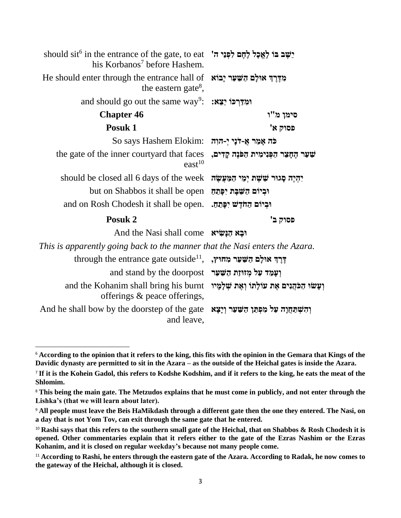| should sit <sup>6</sup> in the entrance of the gate, to eat 'אֶכָל לְחֶם לִפְנֵי הּ<br>his Korbanos <sup>7</sup> before Hashem. |                                                 |
|---------------------------------------------------------------------------------------------------------------------------------|-------------------------------------------------|
| He should enter through the entrance hall of אֵדֶּרְךָ אוּלָם הַשַּׁעַר יָבוֹא<br>the eastern gate <sup>8</sup> ,               |                                                 |
| and should go out the same way <sup>9</sup> : ימְדַרְכּוֹ יַצֵא:                                                                |                                                 |
| <b>Chapter 46</b>                                                                                                               | סימן מ"ו                                        |
| Posuk 1                                                                                                                         | פסוק א'                                         |
| So says Hashem Elokim: בֹּה אָמַר אָ-דֹנִי יְ-הוָה                                                                              |                                                 |
| the gate of the inner courty and that faces<br>east <sup>10</sup>                                                               | שַׁעַר הֶחָצֵר הַפְּנִימִית הַפֹּנֶה קַדִים,    |
| should be closed all 6 days of the week                                                                                         | יִהְיֶה סָגוּר שֵׁשָׁת יְמֵי הַמַּעֲשָׂה        |
| but on Shabbos it shall be open                                                                                                 | וּבְיוֹם הַשַּׁבָּת יִפְּתֵחַ                   |
| and on Rosh Chodesh it shall be open.                                                                                           | וּבְיוֹם הַחֹדֶשׁ יִפָּתֶה.                     |
| Posuk 2                                                                                                                         | פסוק ב'                                         |
| And the Nasi shall come וּבָא הַנַּשְׂיא                                                                                        |                                                 |
| This is apparently going back to the manner that the Nasi enters the Azara.                                                     |                                                 |
| through the entrance gate outside <sup>11</sup> , יְרֵךְ אוּלַם הַשַּׁעַר מְחוּץ,                                               |                                                 |
| and stand by the doorpost ועמד על מזותת השער                                                                                    |                                                 |
| and the Kohanim shall bring his burnt וְעָשׂוּ הַכֹּהֵנִים אֶת עוֹלָתוֹ וְאֵת שְׁלָמְיוּ<br>offerings & peace offerings,        |                                                 |
| And he shall bow by the doorstep of the gate<br>and leave,                                                                      | וְהִשְׁתַּחֲוָה עַל מִכְּתַּן הַשָּׁעַר וְיָצָא |

<sup>6</sup> **According to the opinion that it refers to the king, this fits with the opinion in the Gemara that Kings of the Davidic dynasty are permitted to sit in the Azara – as the outside of the Heichal gates is inside the Azara.**

<sup>7</sup> **If it is the Kohein Gadol, this refers to Kodshe Kodshim, and if it refers to the king, he eats the meat of the Shlomim.**

<sup>8</sup> **This being the main gate. The Metzudos explains that he must come in publicly, and not enter through the Lishka's (that we will learn about later).**

<sup>9</sup> **All people must leave the Beis HaMikdash through a different gate then the one they entered. The Nasi, on a day that is not Yom Tov, can exit through the same gate that he entered.**

<sup>&</sup>lt;sup>10</sup> Rashi says that this refers to the southern small gate of the Heichal, that on Shabbos & Rosh Chodesh it is **opened. Other commentaries explain that it refers either to the gate of the Ezras Nashim or the Ezras Kohanim, and it is closed on regular weekday's because not many people come.**

<sup>&</sup>lt;sup>11</sup> According to Rashi, he enters through the eastern gate of the Azara. According to Radak, he now comes to **the gateway of the Heichal, although it is closed.**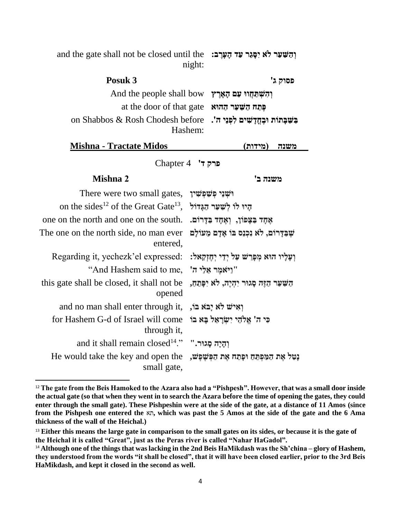and the gate shall not be closed until the **וְ הַ שַ עַר לֹא יִסָּ גֵר עַד הָּ עָּרֶׁ ב:** night:

| Posuk 3                                                              | פסוק ג' |
|----------------------------------------------------------------------|---------|
| And the people shall bow וְהִשְׁתַּחֲווּ עַם הָאָרֶץ                 |         |
| at the door of that gate ההוא at the door of that gate               |         |
| on Shabbos & Rosh Chodesh before . בשבתות ובחדשים לפני ה'<br>Hashem: |         |

| <b>Mishna - Tractate Midos</b> | משנה (מידות) |
|--------------------------------|--------------|
|                                |              |

**פרק ד'** 4 Chapter

#### **משנה ב' 2 Mishna**

| There were two small gates, וֹשְׁנֵי פִשְׁפִּשִׁין                                                       |                                               |
|----------------------------------------------------------------------------------------------------------|-----------------------------------------------|
| on the sides <sup>12</sup> of the Great Gate <sup>13</sup> , היו לו לשער הגדול                           |                                               |
| אֶחֶד בַּצָּפּוֹן, וְאֶחֶד בַּדְרוֹם. .one on the north and one on the south                             |                                               |
| The one on the north side, no man ever<br>entered,                                                       | שֵׁבַּדַרוֹם, לֹא נִכְנַס בּוֹ אַדָם מֵעוֹלַם |
| Regarding it, yechezk'el expressed: וַעֲלִיוּ הוּא מִפְּרֵשׁ עַל יִדֵי יִחֵזְקָאל:                       |                                               |
| "וַיֹּאמֵר אֵלֵי ה' .And Hashem said to me                                                               |                                               |
| this gate shall be closed, it shall not be<br>opened                                                     | השׁער הזה סגור יהיה, לא יפתח,                 |
| and no man shall enter through it, וְאִישׁ לֹא יָבֹא בֹּוֹ,                                              |                                               |
| ר ה' אֱלֹהֶי יִשְׂרָאֵל בַּא בּוֹּ for Hashem G-d of Israel will come<br>through it,                     |                                               |
| and it shall remain closed <sup>14</sup> ." "הֵיָה סָגוּר."                                              |                                               |
| He would take the key and open the נָטַל אֶת הַמַּמְהַ He would take the key and open the<br>small gate, |                                               |

<sup>&</sup>lt;sup>12</sup> The gate from the Beis Hamoked to the Azara also had a "Pishpesh". However, that was a small door inside **the actual gate (so that when they went in to search the Azara before the time of opening the gates, they could enter through the small gate). These Pishpeshin were at the side of the gate, at a distance of 11 Amos (since from the Pishpesh one entered the** תא**, which was past the 5 Amos at the side of the gate and the 6 Ama thickness of the wall of the Heichal.)**

<sup>&</sup>lt;sup>13</sup> Either this means the large gate in comparison to the small gates on its sides, or because it is the gate of **the Heichal it is called "Great", just as the Peras river is called "Nahar HaGadol".**

<sup>14</sup> **Although one of the things that was lacking in the 2nd Beis HaMikdash was the Sh'china – glory of Hashem, they understood from the words "it shall be closed", that it will have been closed earlier, prior to the 3rd Beis HaMikdash, and kept it closed in the second as well.**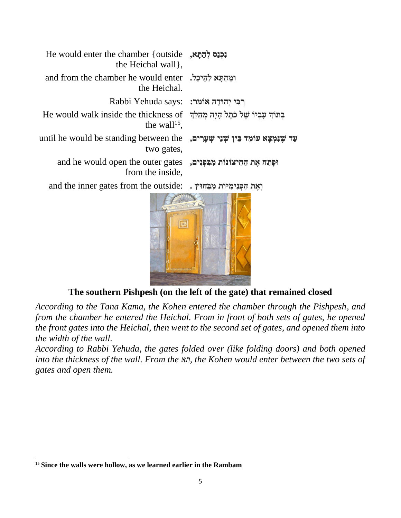| <b>He would enter the chamber {outside</b> , <b>וְכְנֵס לְהֵתֵא</b><br>the Heichal wall,                       |  |
|----------------------------------------------------------------------------------------------------------------|--|
| and from the chamber he would enter גְהֵיכָל.<br>the Heichal.                                                  |  |
| Rabbi Yehuda says: רִבְּי יִהוּדַה אוֹמֵר:                                                                     |  |
| הַתּוֹךְ עָבְיוֹ שֵׁל כֹּתֵל הָיָה מְהַלֵּךְ He would walk inside the thickness of<br>the wall <sup>15</sup> . |  |
| until he would be standing between the שַׁנִּמְצָא עוֹמֵד בֵּין שְׁנֵי שִׁעָרִים,<br>two gates,                |  |
| and he would open the outer gates , מִבְּפְנִים, and he would open the outer gates<br>from the inside,         |  |
| and the inner gates from the outside: . נְאֵת הַפְּנִימְיוֹת מִבְּחוּץ.                                        |  |
|                                                                                                                |  |

**The southern Pishpesh (on the left of the gate) that remained closed**

*According to the Tana Kama, the Kohen entered the chamber through the Pishpesh, and from the chamber he entered the Heichal. From in front of both sets of gates, he opened the front gates into the Heichal, then went to the second set of gates, and opened them into the width of the wall.*

*According to Rabbi Yehuda, the gates folded over (like folding doors) and both opened into the thickness of the wall. From the תא, the Kohen would enter between the two sets of gates and open them.*

<sup>15</sup> **Since the walls were hollow, as we learned earlier in the Rambam**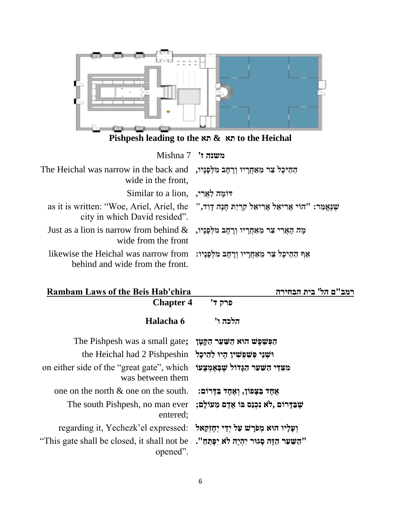

**Pishpesh leading to the תא & תא to the Heichal**

**משנה ז'** 7 Mishna

| הַהֵיכָל צַר מֵאַחֲרָיו וְרָחָב מִלְפָּנָיו, The Heichal was narrow in the back and<br>wide in the front,                                                                                                                                                                                                                                                                                                                                                                                                                                                                                    |                                                                                |
|----------------------------------------------------------------------------------------------------------------------------------------------------------------------------------------------------------------------------------------------------------------------------------------------------------------------------------------------------------------------------------------------------------------------------------------------------------------------------------------------------------------------------------------------------------------------------------------------|--------------------------------------------------------------------------------|
| Similar to a lion, יוֹמֶה לַאֲרִי                                                                                                                                                                                                                                                                                                                                                                                                                                                                                                                                                            |                                                                                |
| city in which David resided".                                                                                                                                                                                                                                                                                                                                                                                                                                                                                                                                                                | as it is written: "Woe, Ariel, Ariel, the "הוי אֲרִיאֵל קְרְיַת חָנָה דְוִד, " |
| Just as a lion is narrow from behind $\&$ קאָרי צַר מֵאַחֲרָיו וְרָחָב מִלְפָּנָיו, עַר<br>wide from the front                                                                                                                                                                                                                                                                                                                                                                                                                                                                               |                                                                                |
| likewise the Heichal was narrow from וּרָחָב מִלְפָּנָיו: likewise the Heichal was narrow from<br>$\blacksquare$ $\blacksquare$ $\blacksquare$ $\blacksquare$ $\blacksquare$ $\blacksquare$ $\blacksquare$ $\blacksquare$ $\blacksquare$ $\blacksquare$ $\blacksquare$ $\blacksquare$ $\blacksquare$ $\blacksquare$ $\blacksquare$ $\blacksquare$ $\blacksquare$ $\blacksquare$ $\blacksquare$ $\blacksquare$ $\blacksquare$ $\blacksquare$ $\blacksquare$ $\blacksquare$ $\blacksquare$ $\blacksquare$ $\blacksquare$ $\blacksquare$ $\blacksquare$ $\blacksquare$ $\blacksquare$ $\blacks$ |                                                                                |

behind and wide from the front.

| <b>Rambam Laws of the Beis Hab'chira</b>                                                                                    | רמב"ם הל' בית הבחירה                           |
|-----------------------------------------------------------------------------------------------------------------------------|------------------------------------------------|
| <b>Chapter 4</b>                                                                                                            | פרק ד'                                         |
| Halacha 6                                                                                                                   | הלכה ו'                                        |
| The Pishpesh was a small gate; הַקַּטַר הַקֵּטַר הַאֵ                                                                       |                                                |
| the Heichal had 2 Pishpeshin וֹשְׁנֵי קִּטְאֲין הָיוּ לְהֵיכָל                                                              |                                                |
| on either side of the "great gate", which מִצְדֵּי הַשָּׁעַר הַגְּדוֹל שָׁבִּאֲמִצְעוֹ<br>was between them                  |                                                |
| one on the north $\&$ one on the south.                                                                                     | אַחָד בַּצָּפוֹן, וְאֵחָד בַּדָּרוֹם:          |
| The south Pishpesh, no man ever<br>entered;                                                                                 | שִׁבַּדַרוֹם ,לֹא נִכְנַס בּוֹ אַדַם מֵעוֹלַם; |
| regarding it, Yechezk'el expressed: וַעֲלֵיו הוּא מִפֹּרָשׁ עַל יְדֵי יְחֶזְקָאל                                            |                                                |
| "This gate shall be closed, it shall not be יהַיָּה לֹא יִפְּתֶחַ". "This gate shall be closed, it shall not be<br>opened". |                                                |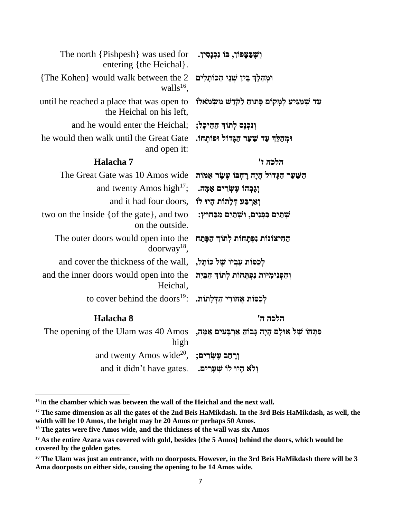| The north {Pishpesh} was used for<br>entering {the Heichal}.                            | וִשָׁבַצַפוֹן, בּוֹ נִכְנָסִין.                   |
|-----------------------------------------------------------------------------------------|---------------------------------------------------|
| {The Kohen} would walk between the 2<br>walls $^{16}$ .                                 | וּמְהַלֵּךְ בֵּין שְׁנֵי הַכּוֹתָלִים             |
| until he reached a place that was open to<br>the Heichal on his left,                   | עד שמגיע למקום פתוח לקדש משמאלו                   |
| and he would enter the Heichal;                                                         | וִנְכְנָם לְתוֹךְ הַהֵיכָל;                       |
| he would then walk until the Great Gate<br>and open it:                                 | וּמְהַלֶּךְ עַד שַׁעַר הַגָּדוֹל וּפוֹתְחוֹ.      |
| Halacha 7                                                                               | הלכה ז'                                           |
| The Great Gate was 10 Amos wide                                                         | הַשַּׁעַר הַגָּדוֹל הָיָה רָחְבּוֹ עָשָׂר אַמּוֹת |
| and twenty Amos high <sup>17</sup> ;                                                    | וִגָּבְהוֹ עֵשְׂרִים אַמָּה.                      |
| and it had four doors, יְאַרְבַּע דְּלָתוֹת הָיוּ לוֹ                                   |                                                   |
| two on the inside { of the gate}, and two<br>on the outside.                            | שתים בפנים, ושתים מבחוץ:                          |
| The outer doors would open into the<br>$doorway^{18}$ ,                                 | החיצונות נפתחות לתוך הפתח                         |
| and cover the thickness of the wall, , לכסות עביו של כותל,                              |                                                   |
| and the inner doors would open into the<br>Heichal,                                     | וְהַפְּנִימִיּוֹת נִפְתָּחוֹת לְתוֹךְ הַבֵּיִת    |
| to cover behind the doors <sup>19</sup> : יהַדְּלָתוֹת.                                 |                                                   |
| Halacha 8                                                                               | הלכה ח'                                           |
| The opening of the Ulam was 40 Amos גִּמְה, The opening of the Ulam was 40 Amos<br>high |                                                   |
| and twenty Amos wide <sup>20</sup> , יִ <b>רְחֶב עֵשְׂרִים</b>                          |                                                   |
| and it didn't have gates. ולא קיו לו שִׁעָרִים.                                         |                                                   |

<sup>&</sup>lt;sup>16</sup> In the chamber which was between the wall of the Heichal and the next wall.

<sup>&</sup>lt;sup>17</sup> The same dimension as all the gates of the 2nd Beis HaMikdash. In the 3rd Beis HaMikdash, as well, the **width will be 10 Amos, the height may be 20 Amos or perhaps 50 Amos.**

<sup>&</sup>lt;sup>18</sup> The gates were five Amos wide, and the thickness of the wall was six Amos

<sup>19</sup> **As the entire Azara was covered with gold, besides {the 5 Amos} behind the doors, which would be covered by the golden gates**.

<sup>&</sup>lt;sup>20</sup> The Ulam was just an entrance, with no doorposts. However, in the 3rd Beis HaMikdash there will be 3 **Ama doorposts on either side, causing the opening to be 14 Amos wide.**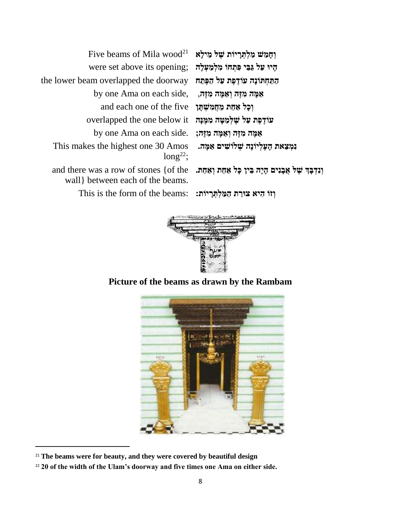|                                        | Five beams of Mila wood <sup>21</sup> מֵילָא הַיִּלְא                 |
|----------------------------------------|-----------------------------------------------------------------------|
|                                        | were set above its opening; הָיוּ עַלְ גַּבֵּי פִּתְחוֹ מִלְמַעִלָּה  |
| התחתונה עודפת על הפתח                  | the lower beam overlapped the doorway                                 |
| אַמָּה מִזֶּה וְאַמָּה מִזֶּה,         | by one Ama on each side,                                              |
| וְכָל אַחַת מֵחֲמִשְׁתַּן              | and each one of the five                                              |
| עוֹדֶפֶת עַל שֶׁלְמַטָּה מִמֵּנַּה     | overlapped the one below it                                           |
| אַמָּה מִזֶּה וְאַמָּה מִזֶּה;         | by one Ama on each side.                                              |
| נמצאת הַעֵלְיוֹנָה שִׁלוֹשִׁים אַמַּה. | This makes the highest one 30 Amos                                    |
|                                        | $long^{22}$ ;                                                         |
|                                        | and there was a row of stones {of the .הַחֲבִּיִן כָּל אֲחַת וְאַחַת. |
|                                        |                                                                       |

wall} between each of the beams.

**וְ זֹו הִ יא צּורַ ת הַ מַ לְ תְ רָּ יֹות:** :beams the of form the is This

**וְ נִדְ בָּ ְך שֶׁ ל א בָּ נִים הָּ יָּה בֵ ין כָּל אַ חַ ת וְ אַ חַ ת.**



# **Picture of the beams as drawn by the Rambam**



<sup>&</sup>lt;sup>21</sup> The beams were for beauty, and they were covered by beautiful design

<sup>22</sup> **20 of the width of the Ulam's doorway and five times one Ama on either side.**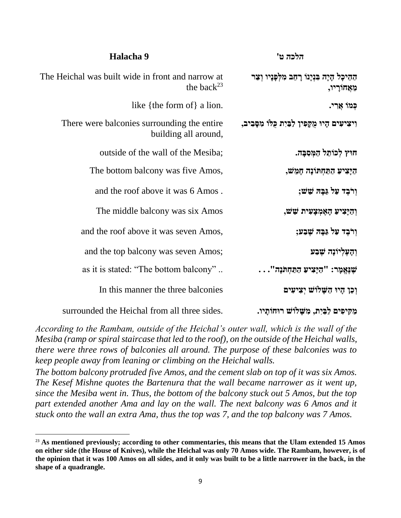| הלכה ט'                                                    | Halacha 9                                                             |
|------------------------------------------------------------|-----------------------------------------------------------------------|
| ההיכל היה בּוּיָנוֹ רַחֵב מִלְפָנִיו וְצַר<br>מֵאֲחוֹרָיו, | The Heichal was built wide in front and narrow at<br>the back $^{23}$ |
| כְּמוֹ אֲרִי.                                              | like {the form of} a lion.                                            |
| וִיצִיעִים הָיוּ מֻקָּפִין לַבַּיִת כְּלוֹ מִסָּבִיב,      | There were balconies surrounding the entire<br>building all around,   |
| חוץ לכותל המסבה.                                           | outside of the wall of the Mesiba;                                    |
| היַצִיע התּחִתוֹנָה חָמֵשׁ,                                | The bottom balcony was five Amos,                                     |
| וִרֹבֵד עַל גַּבַּה שֵׁשׁ;                                 | and the roof above it was 6 Amos.                                     |
| וְהַיָּצִיעַ הָאֶמְצָעִית שֵׁשׁ,                           | The middle balcony was six Amos                                       |
| וִרֹבֵד עַל גַּבַּה שֵׁבַע;                                | and the roof above it was seven Amos,                                 |
| וִהָעֵלִיוֹנָה שֵׁבַע                                      | and the top balcony was seven Amos;                                   |
| : שַׁנָּאֲמָר: "הַיָּצִיעַ הַתַּחְתֹּנָה".                 | as it is stated: "The bottom balcony"                                 |
| וִכֵן הָיוּ הַשָּׁלוֹשׁ יִצְיעִים                          | In this manner the three balconies                                    |
| מקיפים לבית, משלוש רוחותיו.                                | surrounded the Heichal from all three sides.                          |

*According to the Rambam, outside of the Heichal's outer wall, which is the wall of the Mesiba (ramp or spiral staircase that led to the roof), on the outside of the Heichal walls, there were three rows of balconies all around. The purpose of these balconies was to keep people away from leaning or climbing on the Heichal walls.*

*The bottom balcony protruded five Amos, and the cement slab on top of it was six Amos. The Kesef Mishne quotes the Bartenura that the wall became narrower as it went up, since the Mesiba went in. Thus, the bottom of the balcony stuck out 5 Amos, but the top*  part extended another Ama and lay on the wall. The next balcony was 6 Amos and it *stuck onto the wall an extra Ama, thus the top was 7, and the top balcony was 7 Amos.*

<sup>&</sup>lt;sup>23</sup> As mentioned previously; according to other commentaries, this means that the Ulam extended 15 Amos **on either side (the House of Knives), while the Heichal was only 70 Amos wide. The Rambam, however, is of the opinion that it was 100 Amos on all sides, and it only was built to be a little narrower in the back, in the shape of a quadrangle.**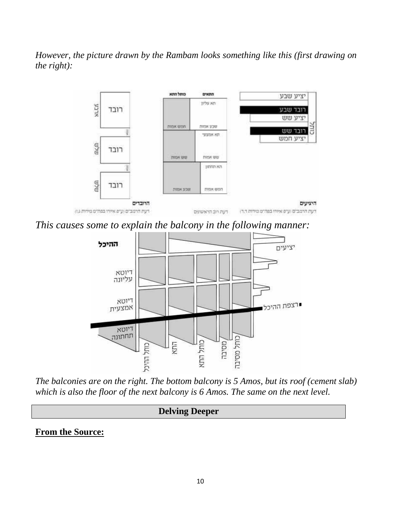*However, the picture drawn by the Rambam looks something like this (first drawing on the right):*



*This causes some to explain the balcony in the following manner:*



*The balconies are on the right. The bottom balcony is 5 Amos, but its roof (cement slab) which is also the floor of the next balcony is 6 Amos. The same on the next level.*

## **Delving Deeper**

### **From the Source:**